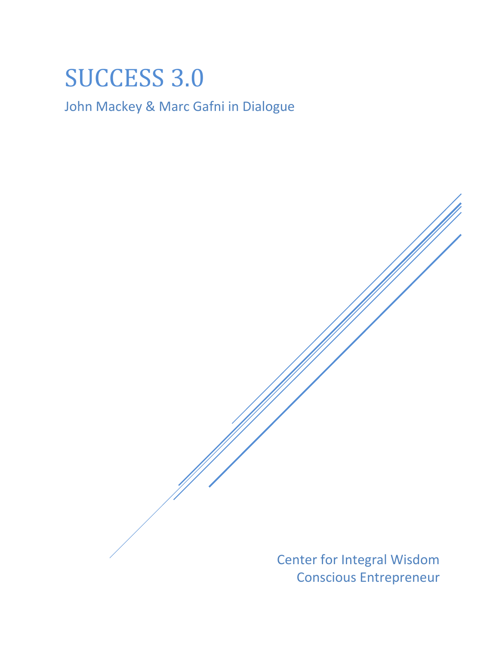## SUCCESS 3.0

John Mackey & Marc Gafni in Dialogue

Center for Integral Wisdom Conscious Entrepreneur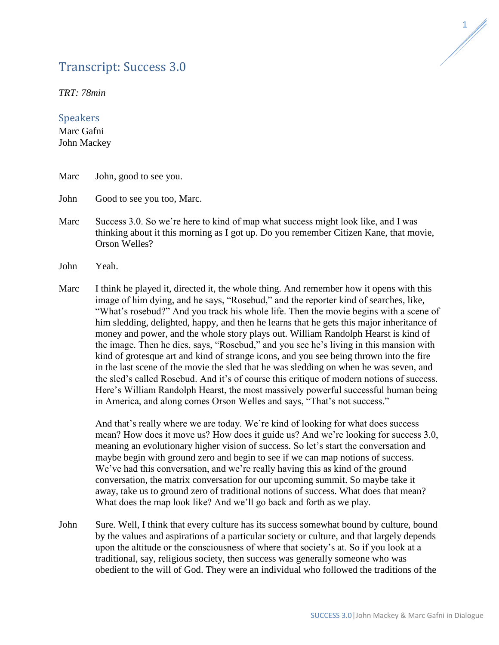## Transcript: Success 3.0



*TRT: 78min*

## **Speakers**

Marc Gafni John Mackey

- Marc John, good to see you.
- John Good to see you too, Marc.
- Marc Success 3.0. So we're here to kind of map what success might look like, and I was thinking about it this morning as I got up. Do you remember Citizen Kane, that movie, Orson Welles?
- John Yeah.
- Marc I think he played it, directed it, the whole thing. And remember how it opens with this image of him dying, and he says, "Rosebud," and the reporter kind of searches, like, "What's rosebud?" And you track his whole life. Then the movie begins with a scene of him sledding, delighted, happy, and then he learns that he gets this major inheritance of money and power, and the whole story plays out. William Randolph Hearst is kind of the image. Then he dies, says, "Rosebud," and you see he's living in this mansion with kind of grotesque art and kind of strange icons, and you see being thrown into the fire in the last scene of the movie the sled that he was sledding on when he was seven, and the sled's called Rosebud. And it's of course this critique of modern notions of success. Here's William Randolph Hearst, the most massively powerful successful human being in America, and along comes Orson Welles and says, "That's not success."

And that's really where we are today. We're kind of looking for what does success mean? How does it move us? How does it guide us? And we're looking for success 3.0, meaning an evolutionary higher vision of success. So let's start the conversation and maybe begin with ground zero and begin to see if we can map notions of success. We've had this conversation, and we're really having this as kind of the ground conversation, the matrix conversation for our upcoming summit. So maybe take it away, take us to ground zero of traditional notions of success. What does that mean? What does the map look like? And we'll go back and forth as we play.

John Sure. Well, I think that every culture has its success somewhat bound by culture, bound by the values and aspirations of a particular society or culture, and that largely depends upon the altitude or the consciousness of where that society's at. So if you look at a traditional, say, religious society, then success was generally someone who was obedient to the will of God. They were an individual who followed the traditions of the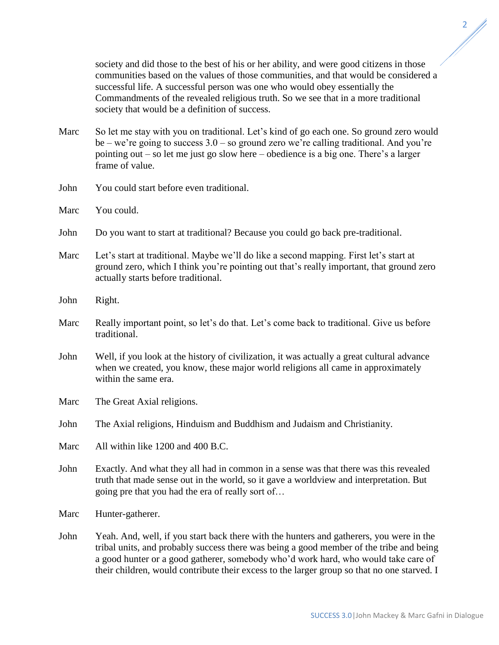society and did those to the best of his or her ability, and were good citizens in those communities based on the values of those communities, and that would be considered a successful life. A successful person was one who would obey essentially the Commandments of the revealed religious truth. So we see that in a more traditional society that would be a definition of success.

- Marc So let me stay with you on traditional. Let's kind of go each one. So ground zero would be – we're going to success 3.0 – so ground zero we're calling traditional. And you're pointing out – so let me just go slow here – obedience is a big one. There's a larger frame of value.
- John You could start before even traditional.
- Marc You could.
- John Do you want to start at traditional? Because you could go back pre-traditional.
- Marc Let's start at traditional. Maybe we'll do like a second mapping. First let's start at ground zero, which I think you're pointing out that's really important, that ground zero actually starts before traditional.
- John Right.
- Marc Really important point, so let's do that. Let's come back to traditional. Give us before traditional.
- John Well, if you look at the history of civilization, it was actually a great cultural advance when we created, you know, these major world religions all came in approximately within the same era.

Marc The Great Axial religions.

John The Axial religions, Hinduism and Buddhism and Judaism and Christianity.

- Marc All within like 1200 and 400 B.C.
- John Exactly. And what they all had in common in a sense was that there was this revealed truth that made sense out in the world, so it gave a worldview and interpretation. But going pre that you had the era of really sort of…

Marc Hunter-gatherer.

John Yeah. And, well, if you start back there with the hunters and gatherers, you were in the tribal units, and probably success there was being a good member of the tribe and being a good hunter or a good gatherer, somebody who'd work hard, who would take care of their children, would contribute their excess to the larger group so that no one starved. I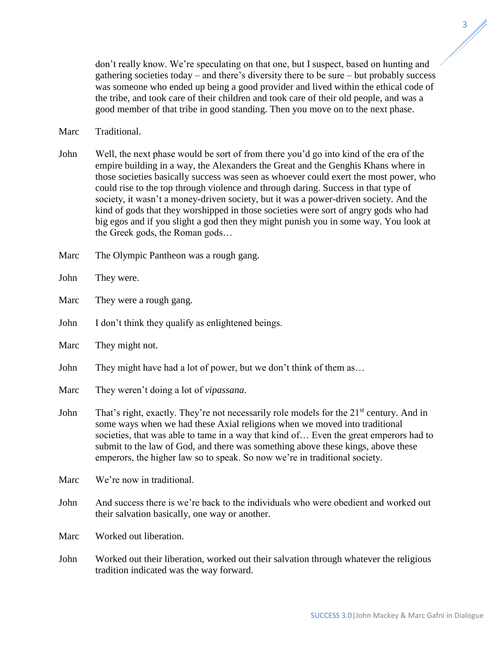don't really know. We're speculating on that one, but I suspect, based on hunting and gathering societies today – and there's diversity there to be sure – but probably success was someone who ended up being a good provider and lived within the ethical code of

Marc Traditional.

John Well, the next phase would be sort of from there you'd go into kind of the era of the empire building in a way, the Alexanders the Great and the Genghis Khans where in those societies basically success was seen as whoever could exert the most power, who could rise to the top through violence and through daring. Success in that type of society, it wasn't a money-driven society, but it was a power-driven society. And the kind of gods that they worshipped in those societies were sort of angry gods who had big egos and if you slight a god then they might punish you in some way. You look at the Greek gods, the Roman gods…

the tribe, and took care of their children and took care of their old people, and was a good member of that tribe in good standing. Then you move on to the next phase.

- Marc The Olympic Pantheon was a rough gang.
- John They were.
- Marc They were a rough gang.
- John I don't think they qualify as enlightened beings.
- Marc They might not.
- John They might have had a lot of power, but we don't think of them as…
- Marc They weren't doing a lot of *vipassana*.
- John That's right, exactly. They're not necessarily role models for the  $21<sup>st</sup>$  century. And in some ways when we had these Axial religions when we moved into traditional societies, that was able to tame in a way that kind of… Even the great emperors had to submit to the law of God, and there was something above these kings, above these emperors, the higher law so to speak. So now we're in traditional society.
- Marc We're now in traditional.
- John And success there is we're back to the individuals who were obedient and worked out their salvation basically, one way or another.

Marc Worked out liberation.

John Worked out their liberation, worked out their salvation through whatever the religious tradition indicated was the way forward.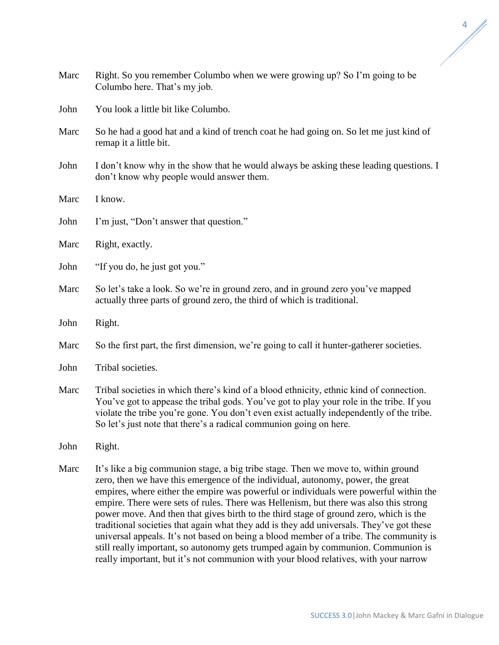| Marc | Right. So you remember Columbo when we were growing up? So I'm going to be<br>Columbo here. That's my job.                                                 |
|------|------------------------------------------------------------------------------------------------------------------------------------------------------------|
| John | You look a little bit like Columbo.                                                                                                                        |
| Marc | So he had a good hat and a kind of trench coat he had going on. So let me just kind of<br>remap it a little bit.                                           |
| John | I don't know why in the show that he would always be asking these leading questions. I<br>don't know why people would answer them.                         |
| Marc | I know.                                                                                                                                                    |
| John | I'm just, "Don't answer that question."                                                                                                                    |
| Marc | Right, exactly.                                                                                                                                            |
| John | "If you do, he just got you."                                                                                                                              |
| Marc | So let's take a look. So we're in ground zero, and in ground zero you've mapped<br>actually three parts of ground zero, the third of which is traditional. |
| John | Right.                                                                                                                                                     |
| Marc | So the first part, the first dimension, we're going to call it hunter-gatherer societies.                                                                  |
| John | Tribal societies.                                                                                                                                          |
| Marc | Tribal societies in which there's kind of a blood ethnicity ethnic kind of connection                                                                      |

Marc Tribal societies in which there's kind of a blood ethnicity, ethnic kind of connection. You've got to appease the tribal gods. You've got to play your role in the tribe. If you violate the tribe you're gone. You don't even exist actually independently of the tribe. So let's just note that there's a radical communion going on here.

John Right.

Marc

Marc

John

John

John

Marc It's like a big communion stage, a big tribe stage. Then we move to, within ground zero, then we have this emergence of the individual, autonomy, power, the great empires, where either the empire was powerful or individuals were powerful within the empire. There were sets of rules. There was Hellenism, but there was also this strong power move. And then that gives birth to the third stage of ground zero, which is the traditional societies that again what they add is they add universals. They've got these universal appeals. It's not based on being a blood member of a tribe. The community is still really important, so autonomy gets trumped again by communion. Communion is really important, but it's not communion with your blood relatives, with your narrow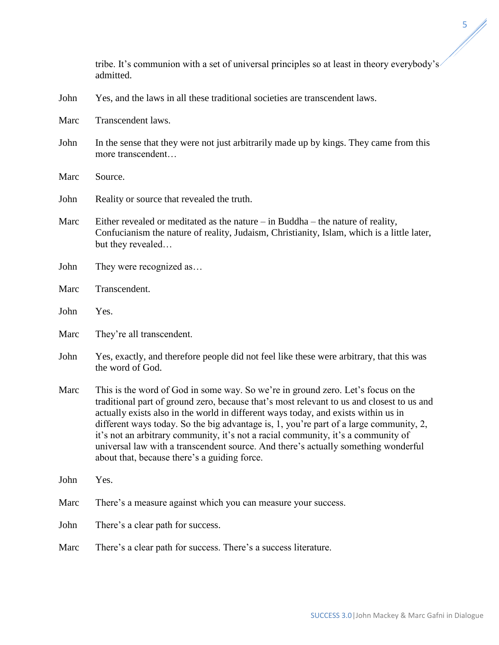tribe. It's communion with a set of universal principles so at least in theory everybody's admitted. John Yes, and the laws in all these traditional societies are transcendent laws. Marc Transcendent laws. John In the sense that they were not just arbitrarily made up by kings. They came from this more transcendent… Marc Source. John Reality or source that revealed the truth. Marc Either revealed or meditated as the nature – in Buddha – the nature of reality, Confucianism the nature of reality, Judaism, Christianity, Islam, which is a little later, but they revealed… John They were recognized as... Marc Transcendent. John Yes. Marc They're all transcendent. John Yes, exactly, and therefore people did not feel like these were arbitrary, that this was the word of God. Marc This is the word of God in some way. So we're in ground zero. Let's focus on the traditional part of ground zero, because that's most relevant to us and closest to us and actually exists also in the world in different ways today, and exists within us in different ways today. So the big advantage is, 1, you're part of a large community, 2, it's not an arbitrary community, it's not a racial community, it's a community of universal law with a transcendent source. And there's actually something wonderful about that, because there's a guiding force. John Yes. Marc There's a measure against which you can measure your success. John There's a clear path for success. Marc There's a clear path for success. There's a success literature.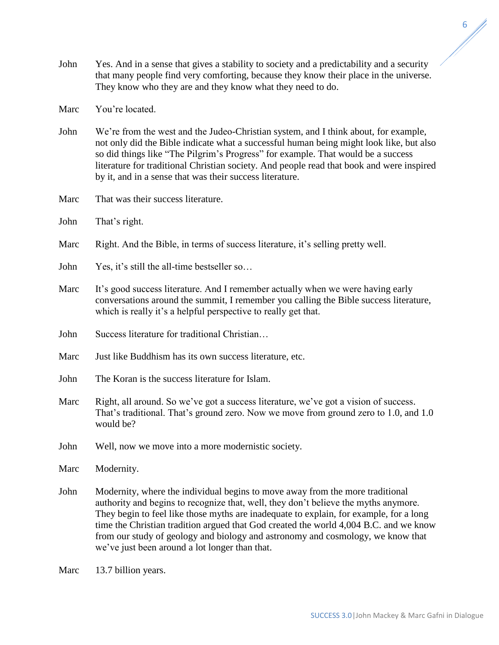- John Yes. And in a sense that gives a stability to society and a predictability and a security that many people find very comforting, because they know their place in the universe. They know who they are and they know what they need to do.
- Marc You're located
- John We're from the west and the Judeo-Christian system, and I think about, for example, not only did the Bible indicate what a successful human being might look like, but also so did things like "The Pilgrim's Progress" for example. That would be a success literature for traditional Christian society. And people read that book and were inspired by it, and in a sense that was their success literature.
- Marc That was their success literature.
- John That's right.
- Marc Right. And the Bible, in terms of success literature, it's selling pretty well.
- John Yes, it's still the all-time bestseller so…
- Marc It's good success literature. And I remember actually when we were having early conversations around the summit, I remember you calling the Bible success literature, which is really it's a helpful perspective to really get that.
- John Success literature for traditional Christian…
- Marc Just like Buddhism has its own success literature, etc.
- John The Koran is the success literature for Islam.
- Marc Right, all around. So we've got a success literature, we've got a vision of success. That's traditional. That's ground zero. Now we move from ground zero to 1.0, and 1.0 would be?
- John Well, now we move into a more modernistic society.

Marc Modernity.

- John Modernity, where the individual begins to move away from the more traditional authority and begins to recognize that, well, they don't believe the myths anymore. They begin to feel like those myths are inadequate to explain, for example, for a long time the Christian tradition argued that God created the world 4,004 B.C. and we know from our study of geology and biology and astronomy and cosmology, we know that we've just been around a lot longer than that.
- Marc 13.7 billion years.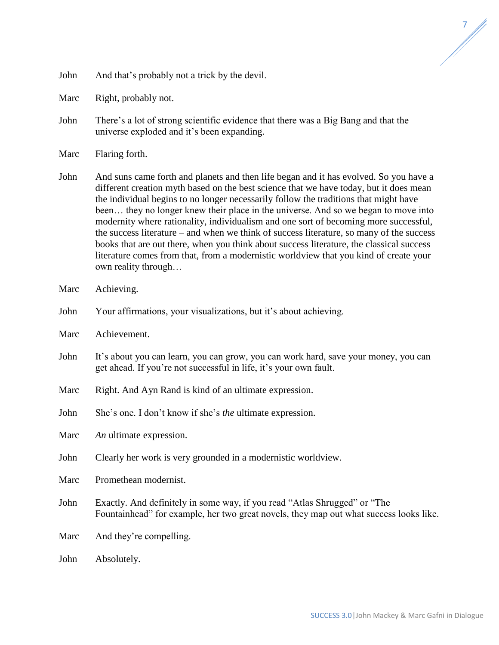| John |  |  |  | And that's probably not a trick by the devil. |
|------|--|--|--|-----------------------------------------------|
|------|--|--|--|-----------------------------------------------|

Marc Right, probably not.

- John There's a lot of strong scientific evidence that there was a Big Bang and that the universe exploded and it's been expanding.
- Marc Flaring forth.
- John And suns came forth and planets and then life began and it has evolved. So you have a different creation myth based on the best science that we have today, but it does mean the individual begins to no longer necessarily follow the traditions that might have been… they no longer knew their place in the universe. And so we began to move into modernity where rationality, individualism and one sort of becoming more successful, the success literature – and when we think of success literature, so many of the success books that are out there, when you think about success literature, the classical success literature comes from that, from a modernistic worldview that you kind of create your own reality through…
- Marc Achieving.
- John Your affirmations, your visualizations, but it's about achieving.
- Marc Achievement.
- John It's about you can learn, you can grow, you can work hard, save your money, you can get ahead. If you're not successful in life, it's your own fault.
- Marc Right. And Ayn Rand is kind of an ultimate expression.
- John She's one. I don't know if she's *the* ultimate expression.
- Marc *An* ultimate expression.
- John Clearly her work is very grounded in a modernistic worldview.
- Marc Promethean modernist.
- John Exactly. And definitely in some way, if you read "Atlas Shrugged" or "The Fountainhead" for example, her two great novels, they map out what success looks like.

Marc And they're compelling.

John Absolutely.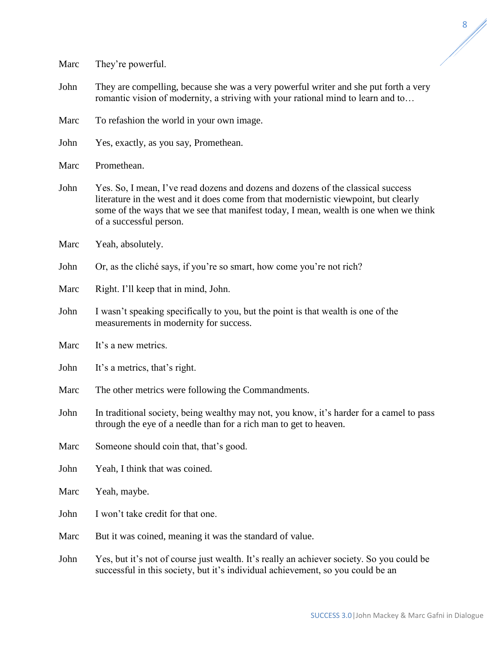Marc They're powerful.

John They are compelling, because she was a very powerful writer and she put forth a very romantic vision of modernity, a striving with your rational mind to learn and to…

Marc To refashion the world in your own image.

John Yes, exactly, as you say, Promethean.

Marc Promethean.

John Yes. So, I mean, I've read dozens and dozens and dozens of the classical success literature in the west and it does come from that modernistic viewpoint, but clearly some of the ways that we see that manifest today, I mean, wealth is one when we think of a successful person.

Marc Yeah, absolutely.

John Or, as the cliché says, if you're so smart, how come you're not rich?

Marc Right. I'll keep that in mind, John.

John I wasn't speaking specifically to you, but the point is that wealth is one of the measurements in modernity for success.

Marc It's a new metrics.

John It's a metrics, that's right.

Marc The other metrics were following the Commandments.

John In traditional society, being wealthy may not, you know, it's harder for a camel to pass through the eye of a needle than for a rich man to get to heaven.

Marc Someone should coin that, that's good.

John Yeah, I think that was coined.

Marc Yeah, maybe.

John I won't take credit for that one.

Marc But it was coined, meaning it was the standard of value.

John Yes, but it's not of course just wealth. It's really an achiever society. So you could be successful in this society, but it's individual achievement, so you could be an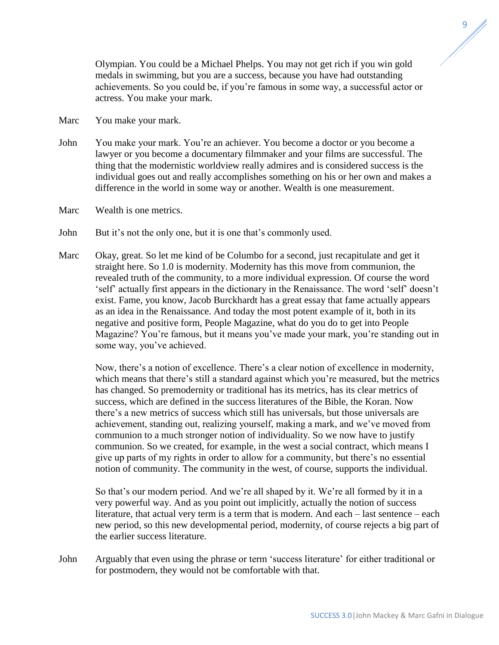Olympian. You could be a Michael Phelps. You may not get rich if you win gold medals in swimming, but you are a success, because you have had outstanding achievements. So you could be, if you're famous in some way, a successful actor or actress. You make your mark.

- Marc You make your mark.
- John You make your mark. You're an achiever. You become a doctor or you become a lawyer or you become a documentary filmmaker and your films are successful. The thing that the modernistic worldview really admires and is considered success is the individual goes out and really accomplishes something on his or her own and makes a difference in the world in some way or another. Wealth is one measurement.
- Marc Wealth is one metrics.
- John But it's not the only one, but it is one that's commonly used.
- Marc Okay, great. So let me kind of be Columbo for a second, just recapitulate and get it straight here. So 1.0 is modernity. Modernity has this move from communion, the revealed truth of the community, to a more individual expression. Of course the word 'self' actually first appears in the dictionary in the Renaissance. The word 'self' doesn't exist. Fame, you know, Jacob Burckhardt has a great essay that fame actually appears as an idea in the Renaissance. And today the most potent example of it, both in its negative and positive form, People Magazine, what do you do to get into People Magazine? You're famous, but it means you've made your mark, you're standing out in some way, you've achieved.

Now, there's a notion of excellence. There's a clear notion of excellence in modernity, which means that there's still a standard against which you're measured, but the metrics has changed. So premodernity or traditional has its metrics, has its clear metrics of success, which are defined in the success literatures of the Bible, the Koran. Now there's a new metrics of success which still has universals, but those universals are achievement, standing out, realizing yourself, making a mark, and we've moved from communion to a much stronger notion of individuality. So we now have to justify communion. So we created, for example, in the west a social contract, which means I give up parts of my rights in order to allow for a community, but there's no essential notion of community. The community in the west, of course, supports the individual.

So that's our modern period. And we're all shaped by it. We're all formed by it in a very powerful way. And as you point out implicitly, actually the notion of success literature, that actual very term is a term that is modern. And each – last sentence – each new period, so this new developmental period, modernity, of course rejects a big part of the earlier success literature.

John Arguably that even using the phrase or term 'success literature' for either traditional or for postmodern, they would not be comfortable with that.

SUCCESS 3.0|John Mackey & Marc Gafni in Dialogue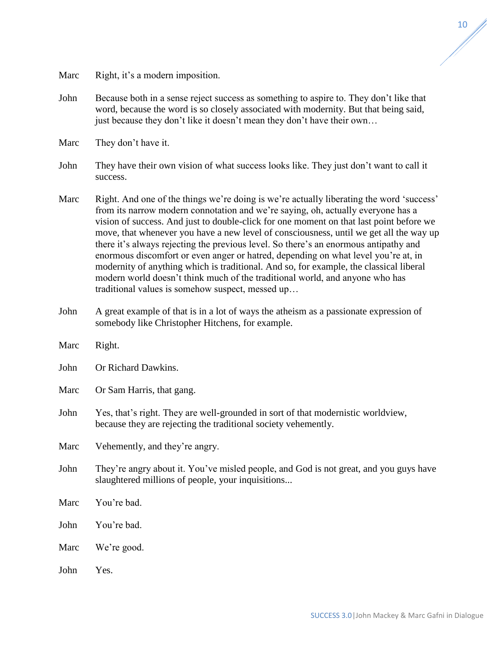Marc Right, it's a modern imposition.

John Because both in a sense reject success as something to aspire to. They don't like that word, because the word is so closely associated with modernity. But that being said, just because they don't like it doesn't mean they don't have their own…

Marc They don't have it.

- John They have their own vision of what success looks like. They just don't want to call it success.
- Marc Right. And one of the things we're doing is we're actually liberating the word 'success' from its narrow modern connotation and we're saying, oh, actually everyone has a vision of success. And just to double-click for one moment on that last point before we move, that whenever you have a new level of consciousness, until we get all the way up there it's always rejecting the previous level. So there's an enormous antipathy and enormous discomfort or even anger or hatred, depending on what level you're at, in modernity of anything which is traditional. And so, for example, the classical liberal modern world doesn't think much of the traditional world, and anyone who has traditional values is somehow suspect, messed up…
- John A great example of that is in a lot of ways the atheism as a passionate expression of somebody like Christopher Hitchens, for example.
- Marc Right.
- John Or Richard Dawkins.

Marc Or Sam Harris, that gang.

John Yes, that's right. They are well-grounded in sort of that modernistic worldview, because they are rejecting the traditional society vehemently.

Marc Vehemently, and they're angry.

- John They're angry about it. You've misled people, and God is not great, and you guys have slaughtered millions of people, your inquisitions...
- Marc You're bad.
- John You're bad.
- Marc We're good.
- John Yes.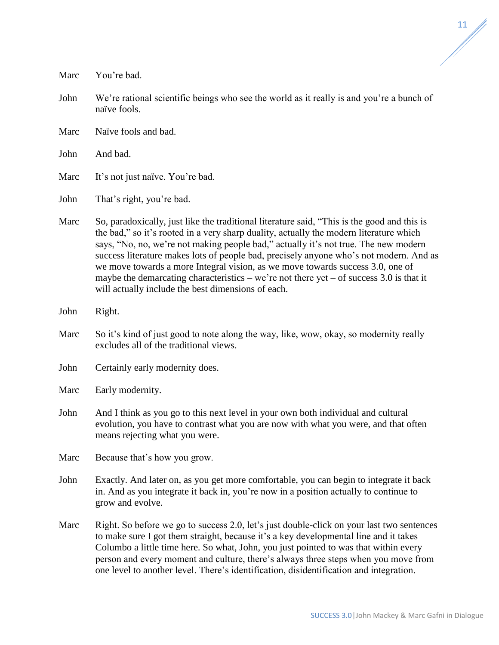John We're rational scientific beings who see the world as it really is and you're a bunch of naïve fools. Marc Naïve fools and bad. John And bad. Marc It's not just naïve. You're bad. John That's right, you're bad. Marc So, paradoxically, just like the traditional literature said, "This is the good and this is the bad," so it's rooted in a very sharp duality, actually the modern literature which says, "No, no, we're not making people bad," actually it's not true. The new modern success literature makes lots of people bad, precisely anyone who's not modern. And as we move towards a more Integral vision, as we move towards success 3.0, one of maybe the demarcating characteristics – we're not there yet – of success  $3.0$  is that it will actually include the best dimensions of each. John Right. Marc So it's kind of just good to note along the way, like, wow, okay, so modernity really excludes all of the traditional views. John Certainly early modernity does. Marc Early modernity. John And I think as you go to this next level in your own both individual and cultural evolution, you have to contrast what you are now with what you were, and that often means rejecting what you were. Marc Because that's how you grow. John Exactly. And later on, as you get more comfortable, you can begin to integrate it back in. And as you integrate it back in, you're now in a position actually to continue to grow and evolve.

Marc You're bad.

Marc Right. So before we go to success 2.0, let's just double-click on your last two sentences to make sure I got them straight, because it's a key developmental line and it takes Columbo a little time here. So what, John, you just pointed to was that within every person and every moment and culture, there's always three steps when you move from one level to another level. There's identification, disidentification and integration.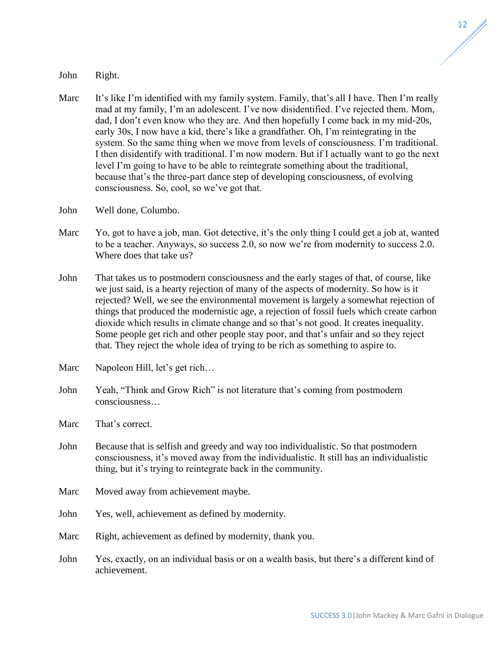John Right.

- Marc It's like I'm identified with my family system. Family, that's all I have. Then I'm really mad at my family, I'm an adolescent. I've now disidentified. I've rejected them. Mom, dad, I don't even know who they are. And then hopefully I come back in my mid-20s, early 30s, I now have a kid, there's like a grandfather. Oh, I'm reintegrating in the system. So the same thing when we move from levels of consciousness. I'm traditional. I then disidentify with traditional. I'm now modern. But if I actually want to go the next level I'm going to have to be able to reintegrate something about the traditional, because that's the three-part dance step of developing consciousness, of evolving consciousness. So, cool, so we've got that.
- John Well done, Columbo.
- Marc Yo, got to have a job, man. Got detective, it's the only thing I could get a job at, wanted to be a teacher. Anyways, so success 2.0, so now we're from modernity to success 2.0. Where does that take us?
- John That takes us to postmodern consciousness and the early stages of that, of course, like we just said, is a hearty rejection of many of the aspects of modernity. So how is it rejected? Well, we see the environmental movement is largely a somewhat rejection of things that produced the modernistic age, a rejection of fossil fuels which create carbon dioxide which results in climate change and so that's not good. It creates inequality. Some people get rich and other people stay poor, and that's unfair and so they reject that. They reject the whole idea of trying to be rich as something to aspire to.
- Marc Napoleon Hill, let's get rich...
- John Yeah, "Think and Grow Rich" is not literature that's coming from postmodern consciousness…
- Marc That's correct.
- John Because that is selfish and greedy and way too individualistic. So that postmodern consciousness, it's moved away from the individualistic. It still has an individualistic thing, but it's trying to reintegrate back in the community.
- Marc Moved away from achievement maybe.
- John Yes, well, achievement as defined by modernity.
- Marc Right, achievement as defined by modernity, thank you.
- John Yes, exactly, on an individual basis or on a wealth basis, but there's a different kind of achievement.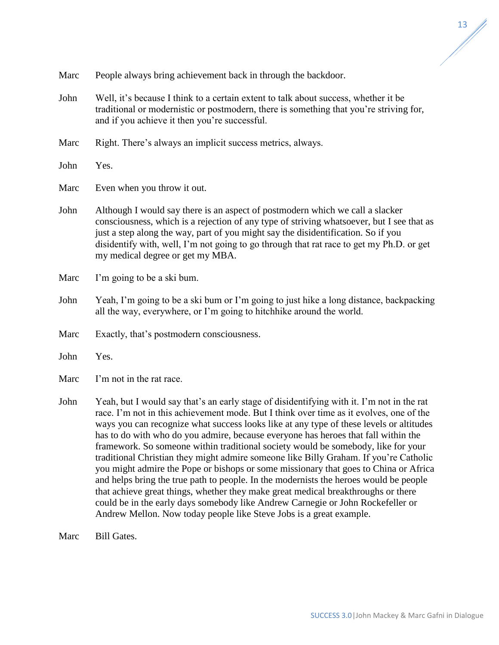- Marc People always bring achievement back in through the backdoor.
- John Well, it's because I think to a certain extent to talk about success, whether it be traditional or modernistic or postmodern, there is something that you're striving for, and if you achieve it then you're successful.
- Marc Right. There's always an implicit success metrics, always.
- John Yes.
- Marc Even when you throw it out.
- John Although I would say there is an aspect of postmodern which we call a slacker consciousness, which is a rejection of any type of striving whatsoever, but I see that as just a step along the way, part of you might say the disidentification. So if you disidentify with, well, I'm not going to go through that rat race to get my Ph.D. or get my medical degree or get my MBA.
- Marc I'm going to be a ski bum.
- John Yeah, I'm going to be a ski bum or I'm going to just hike a long distance, backpacking all the way, everywhere, or I'm going to hitchhike around the world.
- Marc Exactly, that's postmodern consciousness.
- John Yes.
- Marc I'm not in the rat race.
- John Yeah, but I would say that's an early stage of disidentifying with it. I'm not in the rat race. I'm not in this achievement mode. But I think over time as it evolves, one of the ways you can recognize what success looks like at any type of these levels or altitudes has to do with who do you admire, because everyone has heroes that fall within the framework. So someone within traditional society would be somebody, like for your traditional Christian they might admire someone like Billy Graham. If you're Catholic you might admire the Pope or bishops or some missionary that goes to China or Africa and helps bring the true path to people. In the modernists the heroes would be people that achieve great things, whether they make great medical breakthroughs or there could be in the early days somebody like Andrew Carnegie or John Rockefeller or Andrew Mellon. Now today people like Steve Jobs is a great example.
- Marc Bill Gates.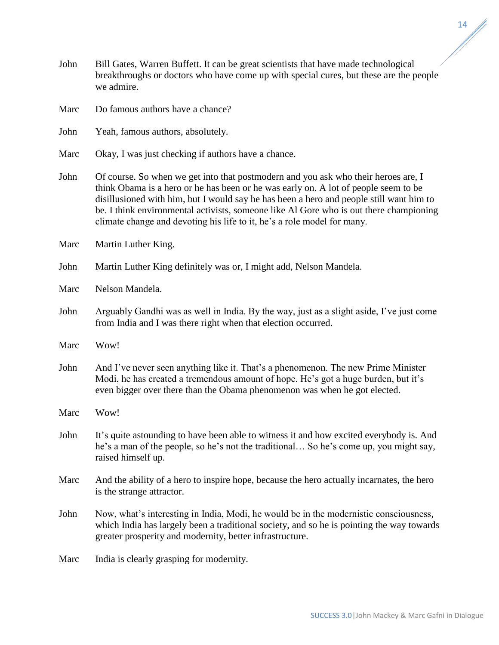SUCCESS 3.0|John Mackey & Marc Gafni in Dialogue

- John Bill Gates, Warren Buffett. It can be great scientists that have made technological breakthroughs or doctors who have come up with special cures, but these are the people we admire.
- Marc Do famous authors have a chance?
- John Yeah, famous authors, absolutely.
- Marc Okay, I was just checking if authors have a chance.
- John Of course. So when we get into that postmodern and you ask who their heroes are, I think Obama is a hero or he has been or he was early on. A lot of people seem to be disillusioned with him, but I would say he has been a hero and people still want him to be. I think environmental activists, someone like Al Gore who is out there championing climate change and devoting his life to it, he's a role model for many.
- Marc Martin Luther King.
- John Martin Luther King definitely was or, I might add, Nelson Mandela.
- Marc Nelson Mandela
- John Arguably Gandhi was as well in India. By the way, just as a slight aside, I've just come from India and I was there right when that election occurred.
- Marc Wow!
- John And I've never seen anything like it. That's a phenomenon. The new Prime Minister Modi, he has created a tremendous amount of hope. He's got a huge burden, but it's even bigger over there than the Obama phenomenon was when he got elected.
- Marc Wow!
- John It's quite astounding to have been able to witness it and how excited everybody is. And he's a man of the people, so he's not the traditional… So he's come up, you might say, raised himself up.
- Marc And the ability of a hero to inspire hope, because the hero actually incarnates, the hero is the strange attractor.
- John Now, what's interesting in India, Modi, he would be in the modernistic consciousness, which India has largely been a traditional society, and so he is pointing the way towards greater prosperity and modernity, better infrastructure.
- Marc India is clearly grasping for modernity.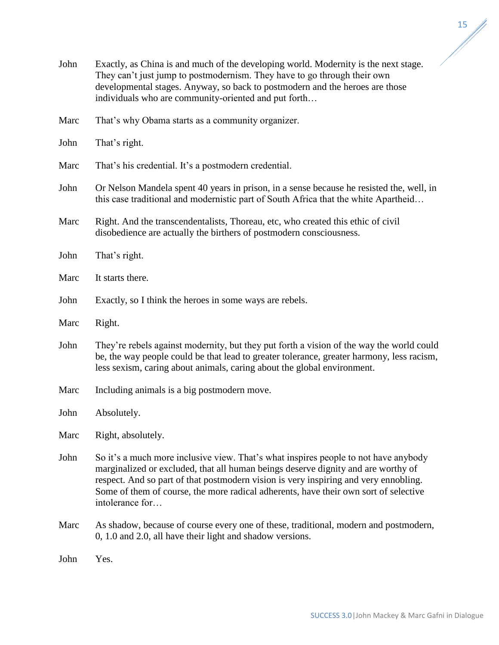

//

| John | Exactly, as China is and much of the developing world. Modernity is the next stage.<br>They can't just jump to postmodernism. They have to go through their own<br>developmental stages. Anyway, so back to postmodern and the heroes are those<br>individuals who are community-oriented and put forth                                                                     |  |  |
|------|-----------------------------------------------------------------------------------------------------------------------------------------------------------------------------------------------------------------------------------------------------------------------------------------------------------------------------------------------------------------------------|--|--|
| Marc | That's why Obama starts as a community organizer.                                                                                                                                                                                                                                                                                                                           |  |  |
| John | That's right.                                                                                                                                                                                                                                                                                                                                                               |  |  |
| Marc | That's his credential. It's a postmodern credential.                                                                                                                                                                                                                                                                                                                        |  |  |
| John | Or Nelson Mandela spent 40 years in prison, in a sense because he resisted the, well, in<br>this case traditional and modernistic part of South Africa that the white Apartheid                                                                                                                                                                                             |  |  |
| Marc | Right. And the transcendentalists, Thoreau, etc, who created this ethic of civil<br>disobedience are actually the birthers of postmodern consciousness.                                                                                                                                                                                                                     |  |  |
| John | That's right.                                                                                                                                                                                                                                                                                                                                                               |  |  |
| Marc | It starts there.                                                                                                                                                                                                                                                                                                                                                            |  |  |
| John | Exactly, so I think the heroes in some ways are rebels.                                                                                                                                                                                                                                                                                                                     |  |  |
| Marc | Right.                                                                                                                                                                                                                                                                                                                                                                      |  |  |
| John | They're rebels against modernity, but they put forth a vision of the way the world could<br>be, the way people could be that lead to greater tolerance, greater harmony, less racism,<br>less sexism, caring about animals, caring about the global environment.                                                                                                            |  |  |
| Marc | Including animals is a big postmodern move.                                                                                                                                                                                                                                                                                                                                 |  |  |
| John | Absolutely.                                                                                                                                                                                                                                                                                                                                                                 |  |  |
| Marc | Right, absolutely.                                                                                                                                                                                                                                                                                                                                                          |  |  |
| John | So it's a much more inclusive view. That's what inspires people to not have anybody<br>marginalized or excluded, that all human beings deserve dignity and are worthy of<br>respect. And so part of that postmodern vision is very inspiring and very ennobling.<br>Some of them of course, the more radical adherents, have their own sort of selective<br>intolerance for |  |  |
| Marc | As shadow, because of course every one of these, traditional, modern and postmodern,<br>0, 1.0 and 2.0, all have their light and shadow versions.                                                                                                                                                                                                                           |  |  |
| John | Yes.                                                                                                                                                                                                                                                                                                                                                                        |  |  |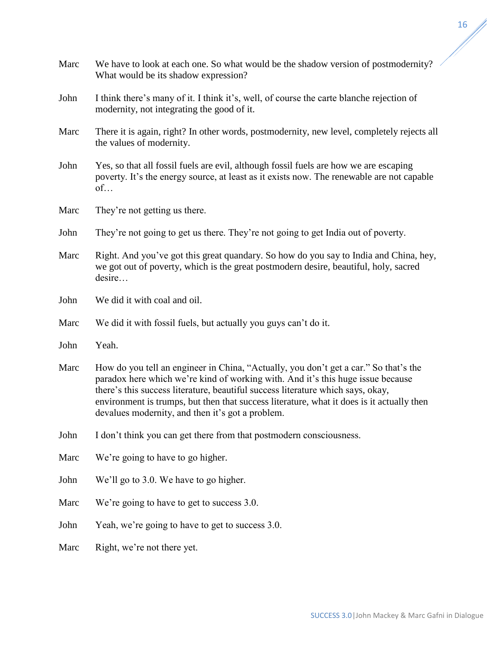| Marc | We have to look at each one. So what would be the shadow version of postmodernity?<br>What would be its shadow expression?                                                                                                                                                                                                                                                                                  |  |
|------|-------------------------------------------------------------------------------------------------------------------------------------------------------------------------------------------------------------------------------------------------------------------------------------------------------------------------------------------------------------------------------------------------------------|--|
| John | I think there's many of it. I think it's, well, of course the carte blanche rejection of<br>modernity, not integrating the good of it.                                                                                                                                                                                                                                                                      |  |
| Marc | There it is again, right? In other words, postmodernity, new level, completely rejects all<br>the values of modernity.                                                                                                                                                                                                                                                                                      |  |
| John | Yes, so that all fossil fuels are evil, although fossil fuels are how we are escaping<br>poverty. It's the energy source, at least as it exists now. The renewable are not capable<br>of                                                                                                                                                                                                                    |  |
| Marc | They're not getting us there.                                                                                                                                                                                                                                                                                                                                                                               |  |
| John | They're not going to get us there. They're not going to get India out of poverty.                                                                                                                                                                                                                                                                                                                           |  |
| Marc | Right. And you've got this great quandary. So how do you say to India and China, hey,<br>we got out of poverty, which is the great postmodern desire, beautiful, holy, sacred<br>desire                                                                                                                                                                                                                     |  |
| John | We did it with coal and oil.                                                                                                                                                                                                                                                                                                                                                                                |  |
| Marc | We did it with fossil fuels, but actually you guys can't do it.                                                                                                                                                                                                                                                                                                                                             |  |
| John | Yeah.                                                                                                                                                                                                                                                                                                                                                                                                       |  |
| Marc | How do you tell an engineer in China, "Actually, you don't get a car." So that's the<br>paradox here which we're kind of working with. And it's this huge issue because<br>there's this success literature, beautiful success literature which says, okay,<br>environment is trumps, but then that success literature, what it does is it actually then<br>devalues modernity, and then it's got a problem. |  |
| John | I don't think you can get there from that postmodern consciousness.                                                                                                                                                                                                                                                                                                                                         |  |
| Marc | We're going to have to go higher.                                                                                                                                                                                                                                                                                                                                                                           |  |
| John | We'll go to 3.0. We have to go higher.                                                                                                                                                                                                                                                                                                                                                                      |  |
| Marc | We're going to have to get to success 3.0.                                                                                                                                                                                                                                                                                                                                                                  |  |
| John | Yeah, we're going to have to get to success 3.0.                                                                                                                                                                                                                                                                                                                                                            |  |
| Marc | Right, we're not there yet.                                                                                                                                                                                                                                                                                                                                                                                 |  |
|      |                                                                                                                                                                                                                                                                                                                                                                                                             |  |

 $\mathbb{Z}^2$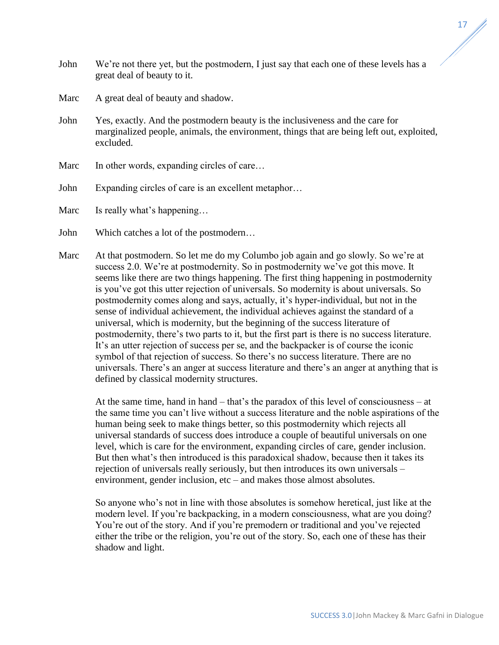- John We're not there yet, but the postmodern, I just say that each one of these levels has a great deal of beauty to it.
- Marc A great deal of beauty and shadow.
- John Yes, exactly. And the postmodern beauty is the inclusiveness and the care for marginalized people, animals, the environment, things that are being left out, exploited, excluded.
- Marc In other words, expanding circles of care...
- John Expanding circles of care is an excellent metaphor...

Marc Is really what's happening...

- John Which catches a lot of the postmodern…
- Marc At that postmodern. So let me do my Columbo job again and go slowly. So we're at success 2.0. We're at postmodernity. So in postmodernity we've got this move. It seems like there are two things happening. The first thing happening in postmodernity is you've got this utter rejection of universals. So modernity is about universals. So postmodernity comes along and says, actually, it's hyper-individual, but not in the sense of individual achievement, the individual achieves against the standard of a universal, which is modernity, but the beginning of the success literature of postmodernity, there's two parts to it, but the first part is there is no success literature. It's an utter rejection of success per se, and the backpacker is of course the iconic symbol of that rejection of success. So there's no success literature. There are no universals. There's an anger at success literature and there's an anger at anything that is defined by classical modernity structures.

At the same time, hand in hand – that's the paradox of this level of consciousness – at the same time you can't live without a success literature and the noble aspirations of the human being seek to make things better, so this postmodernity which rejects all universal standards of success does introduce a couple of beautiful universals on one level, which is care for the environment, expanding circles of care, gender inclusion. But then what's then introduced is this paradoxical shadow, because then it takes its rejection of universals really seriously, but then introduces its own universals – environment, gender inclusion, etc – and makes those almost absolutes.

So anyone who's not in line with those absolutes is somehow heretical, just like at the modern level. If you're backpacking, in a modern consciousness, what are you doing? You're out of the story. And if you're premodern or traditional and you've rejected either the tribe or the religion, you're out of the story. So, each one of these has their shadow and light.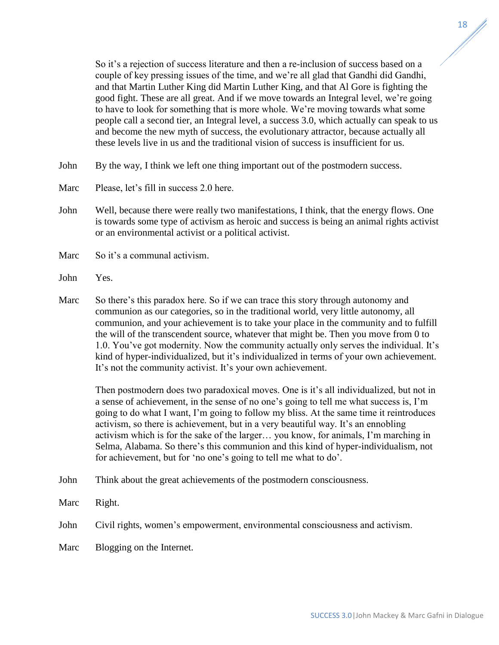So it's a rejection of success literature and then a re-inclusion of success based on a couple of key pressing issues of the time, and we're all glad that Gandhi did Gandhi, and that Martin Luther King did Martin Luther King, and that Al Gore is fighting the good fight. These are all great. And if we move towards an Integral level, we're going to have to look for something that is more whole. We're moving towards what some people call a second tier, an Integral level, a success 3.0, which actually can speak to us and become the new myth of success, the evolutionary attractor, because actually all these levels live in us and the traditional vision of success is insufficient for us.

- John By the way, I think we left one thing important out of the postmodern success.
- Marc Please, let's fill in success 2.0 here.
- John Well, because there were really two manifestations, I think, that the energy flows. One is towards some type of activism as heroic and success is being an animal rights activist or an environmental activist or a political activist.
- Marc So it's a communal activism.
- John Yes.
- Marc So there's this paradox here. So if we can trace this story through autonomy and communion as our categories, so in the traditional world, very little autonomy, all communion, and your achievement is to take your place in the community and to fulfill the will of the transcendent source, whatever that might be. Then you move from 0 to 1.0. You've got modernity. Now the community actually only serves the individual. It's kind of hyper-individualized, but it's individualized in terms of your own achievement. It's not the community activist. It's your own achievement.

Then postmodern does two paradoxical moves. One is it's all individualized, but not in a sense of achievement, in the sense of no one's going to tell me what success is, I'm going to do what I want, I'm going to follow my bliss. At the same time it reintroduces activism, so there is achievement, but in a very beautiful way. It's an ennobling activism which is for the sake of the larger… you know, for animals, I'm marching in Selma, Alabama. So there's this communion and this kind of hyper-individualism, not for achievement, but for 'no one's going to tell me what to do'.

- John Think about the great achievements of the postmodern consciousness.
- Marc Right.

John Civil rights, women's empowerment, environmental consciousness and activism.

Marc Blogging on the Internet.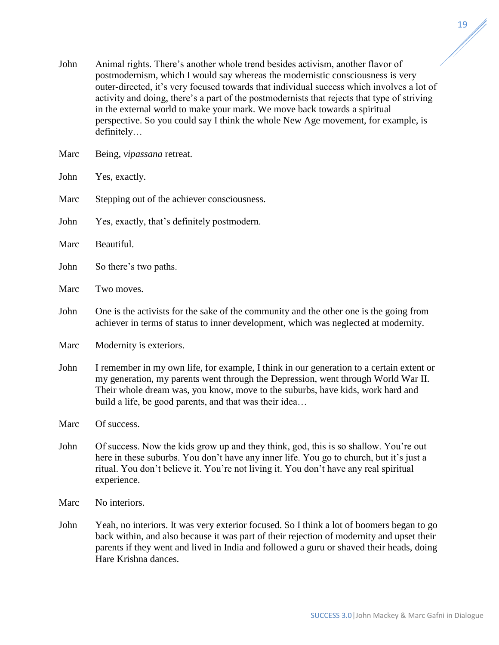- John Animal rights. There's another whole trend besides activism, another flavor of postmodernism, which I would say whereas the modernistic consciousness is very outer-directed, it's very focused towards that individual success which involves a lot of activity and doing, there's a part of the postmodernists that rejects that type of striving in the external world to make your mark. We move back towards a spiritual perspective. So you could say I think the whole New Age movement, for example, is definitely…
- Marc Being, *vipassana* retreat.
- John Yes, exactly.
- Marc Stepping out of the achiever consciousness.
- John Yes, exactly, that's definitely postmodern.
- Marc Beautiful.
- John So there's two paths.
- Marc Two moves.
- John One is the activists for the sake of the community and the other one is the going from achiever in terms of status to inner development, which was neglected at modernity.
- Marc Modernity is exteriors.
- John I remember in my own life, for example, I think in our generation to a certain extent or my generation, my parents went through the Depression, went through World War II. Their whole dream was, you know, move to the suburbs, have kids, work hard and build a life, be good parents, and that was their idea…
- Marc Of success.
- John Of success. Now the kids grow up and they think, god, this is so shallow. You're out here in these suburbs. You don't have any inner life. You go to church, but it's just a ritual. You don't believe it. You're not living it. You don't have any real spiritual experience.
- Marc No interiors.
- John Yeah, no interiors. It was very exterior focused. So I think a lot of boomers began to go back within, and also because it was part of their rejection of modernity and upset their parents if they went and lived in India and followed a guru or shaved their heads, doing Hare Krishna dances.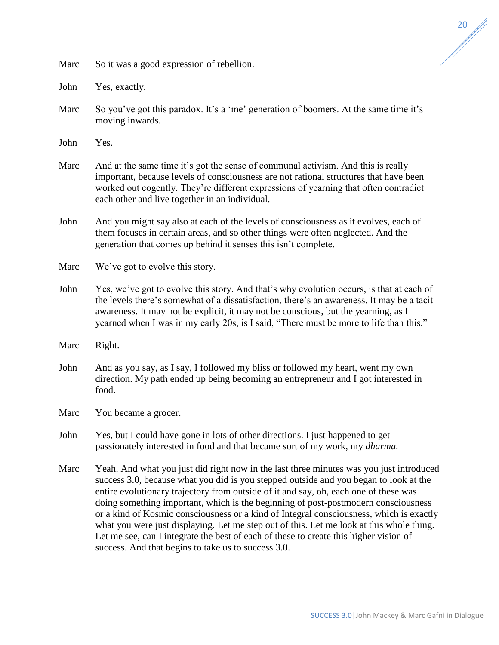Marc So it was a good expression of rebellion.

John Yes, exactly.

Marc So you've got this paradox. It's a 'me' generation of boomers. At the same time it's moving inwards.

John Yes.

- Marc And at the same time it's got the sense of communal activism. And this is really important, because levels of consciousness are not rational structures that have been worked out cogently. They're different expressions of yearning that often contradict each other and live together in an individual.
- John And you might say also at each of the levels of consciousness as it evolves, each of them focuses in certain areas, and so other things were often neglected. And the generation that comes up behind it senses this isn't complete.
- Marc We've got to evolve this story.
- John Yes, we've got to evolve this story. And that's why evolution occurs, is that at each of the levels there's somewhat of a dissatisfaction, there's an awareness. It may be a tacit awareness. It may not be explicit, it may not be conscious, but the yearning, as I yearned when I was in my early 20s, is I said, "There must be more to life than this."
- Marc Right.
- John And as you say, as I say, I followed my bliss or followed my heart, went my own direction. My path ended up being becoming an entrepreneur and I got interested in food.
- Marc You became a grocer.
- John Yes, but I could have gone in lots of other directions. I just happened to get passionately interested in food and that became sort of my work, my *dharma.*
- Marc Yeah. And what you just did right now in the last three minutes was you just introduced success 3.0, because what you did is you stepped outside and you began to look at the entire evolutionary trajectory from outside of it and say, oh, each one of these was doing something important, which is the beginning of post-postmodern consciousness or a kind of Kosmic consciousness or a kind of Integral consciousness, which is exactly what you were just displaying. Let me step out of this. Let me look at this whole thing. Let me see, can I integrate the best of each of these to create this higher vision of success. And that begins to take us to success 3.0.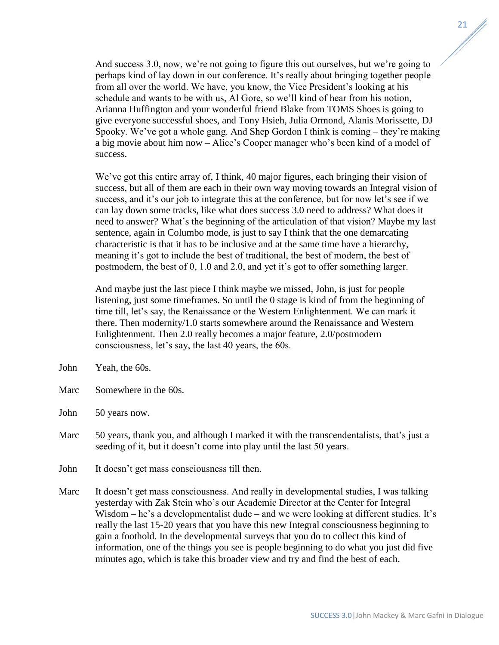And success 3.0, now, we're not going to figure this out ourselves, but we're going to perhaps kind of lay down in our conference. It's really about bringing together people from all over the world. We have, you know, the Vice President's looking at his schedule and wants to be with us, Al Gore, so we'll kind of hear from his notion, Arianna Huffington and your wonderful friend Blake from TOMS Shoes is going to give everyone successful shoes, and Tony Hsieh, Julia Ormond, Alanis Morissette, DJ Spooky. We've got a whole gang. And Shep Gordon I think is coming – they're making a big movie about him now – Alice's Cooper manager who's been kind of a model of success.

We've got this entire array of, I think, 40 major figures, each bringing their vision of success, but all of them are each in their own way moving towards an Integral vision of success, and it's our job to integrate this at the conference, but for now let's see if we can lay down some tracks, like what does success 3.0 need to address? What does it need to answer? What's the beginning of the articulation of that vision? Maybe my last sentence, again in Columbo mode, is just to say I think that the one demarcating characteristic is that it has to be inclusive and at the same time have a hierarchy, meaning it's got to include the best of traditional, the best of modern, the best of postmodern, the best of 0, 1.0 and 2.0, and yet it's got to offer something larger.

And maybe just the last piece I think maybe we missed, John, is just for people listening, just some timeframes. So until the 0 stage is kind of from the beginning of time till, let's say, the Renaissance or the Western Enlightenment. We can mark it there. Then modernity/1.0 starts somewhere around the Renaissance and Western Enlightenment. Then 2.0 really becomes a major feature, 2.0/postmodern consciousness, let's say, the last 40 years, the 60s.

- John Yeah, the 60s.
- Marc Somewhere in the 60s.
- John 50 years now.
- Marc 50 years, thank you, and although I marked it with the transcendentalists, that's just a seeding of it, but it doesn't come into play until the last 50 years.
- John It doesn't get mass consciousness till then.
- Marc It doesn't get mass consciousness. And really in developmental studies, I was talking yesterday with Zak Stein who's our Academic Director at the Center for Integral Wisdom – he's a developmentalist dude – and we were looking at different studies. It's really the last 15-20 years that you have this new Integral consciousness beginning to gain a foothold. In the developmental surveys that you do to collect this kind of information, one of the things you see is people beginning to do what you just did five minutes ago, which is take this broader view and try and find the best of each.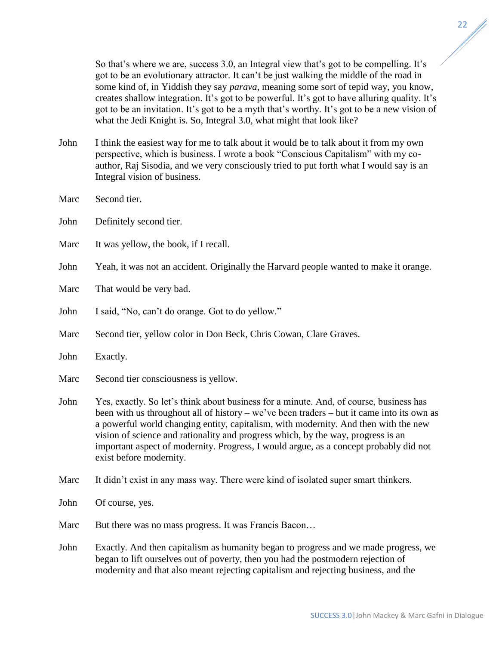So that's where we are, success 3.0, an Integral view that's got to be compelling. It's got to be an evolutionary attractor. It can't be just walking the middle of the road in some kind of, in Yiddish they say *parava*, meaning some sort of tepid way, you know, creates shallow integration. It's got to be powerful. It's got to have alluring quality. It's got to be an invitation. It's got to be a myth that's worthy. It's got to be a new vision of what the Jedi Knight is. So, Integral 3.0, what might that look like?

- John I think the easiest way for me to talk about it would be to talk about it from my own perspective, which is business. I wrote a book "Conscious Capitalism" with my coauthor, Raj Sisodia, and we very consciously tried to put forth what I would say is an Integral vision of business.
- Marc Second tier.
- John Definitely second tier.
- Marc It was yellow, the book, if I recall.

John Yeah, it was not an accident. Originally the Harvard people wanted to make it orange.

- Marc That would be very bad.
- John I said, "No, can't do orange. Got to do yellow."
- Marc Second tier, yellow color in Don Beck, Chris Cowan, Clare Graves.
- John Exactly.
- Marc Second tier consciousness is yellow.
- John Yes, exactly. So let's think about business for a minute. And, of course, business has been with us throughout all of history – we've been traders – but it came into its own as a powerful world changing entity, capitalism, with modernity. And then with the new vision of science and rationality and progress which, by the way, progress is an important aspect of modernity. Progress, I would argue, as a concept probably did not exist before modernity.
- Marc It didn't exist in any mass way. There were kind of isolated super smart thinkers.
- John Of course, yes.
- Marc But there was no mass progress. It was Francis Bacon...
- John Exactly. And then capitalism as humanity began to progress and we made progress, we began to lift ourselves out of poverty, then you had the postmodern rejection of modernity and that also meant rejecting capitalism and rejecting business, and the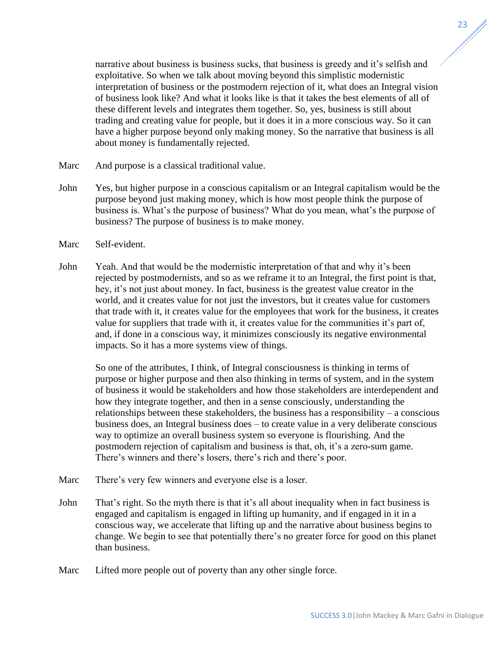narrative about business is business sucks, that business is greedy and it's selfish and exploitative. So when we talk about moving beyond this simplistic modernistic interpretation of business or the postmodern rejection of it, what does an Integral vision of business look like? And what it looks like is that it takes the best elements of all of these different levels and integrates them together. So, yes, business is still about trading and creating value for people, but it does it in a more conscious way. So it can have a higher purpose beyond only making money. So the narrative that business is all about money is fundamentally rejected.

- Marc And purpose is a classical traditional value.
- John Yes, but higher purpose in a conscious capitalism or an Integral capitalism would be the purpose beyond just making money, which is how most people think the purpose of business is. What's the purpose of business? What do you mean, what's the purpose of business? The purpose of business is to make money.
- Marc Self-evident.
- John Yeah. And that would be the modernistic interpretation of that and why it's been rejected by postmodernists, and so as we reframe it to an Integral, the first point is that, hey, it's not just about money. In fact, business is the greatest value creator in the world, and it creates value for not just the investors, but it creates value for customers that trade with it, it creates value for the employees that work for the business, it creates value for suppliers that trade with it, it creates value for the communities it's part of, and, if done in a conscious way, it minimizes consciously its negative environmental impacts. So it has a more systems view of things.

So one of the attributes, I think, of Integral consciousness is thinking in terms of purpose or higher purpose and then also thinking in terms of system, and in the system of business it would be stakeholders and how those stakeholders are interdependent and how they integrate together, and then in a sense consciously, understanding the relationships between these stakeholders, the business has a responsibility – a conscious business does, an Integral business does – to create value in a very deliberate conscious way to optimize an overall business system so everyone is flourishing. And the postmodern rejection of capitalism and business is that, oh, it's a zero-sum game. There's winners and there's losers, there's rich and there's poor.

- Marc There's very few winners and everyone else is a loser.
- John That's right. So the myth there is that it's all about inequality when in fact business is engaged and capitalism is engaged in lifting up humanity, and if engaged in it in a conscious way, we accelerate that lifting up and the narrative about business begins to change. We begin to see that potentially there's no greater force for good on this planet than business.
- Marc Lifted more people out of poverty than any other single force.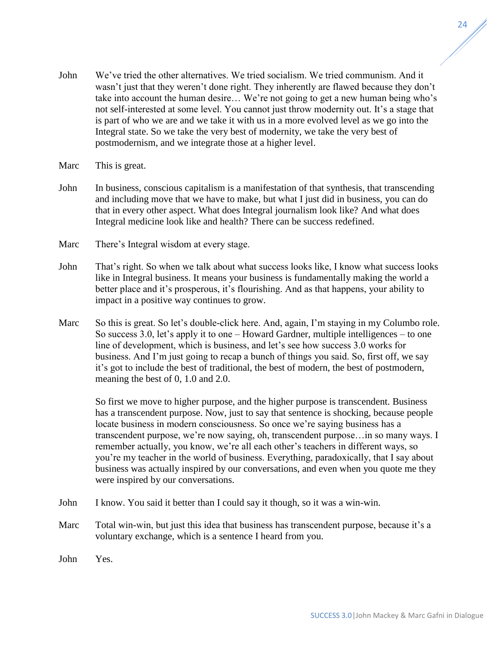- John We've tried the other alternatives. We tried socialism. We tried communism. And it wasn't just that they weren't done right. They inherently are flawed because they don't take into account the human desire… We're not going to get a new human being who's not self-interested at some level. You cannot just throw modernity out. It's a stage that is part of who we are and we take it with us in a more evolved level as we go into the Integral state. So we take the very best of modernity, we take the very best of postmodernism, and we integrate those at a higher level.
- Marc This is great.
- John In business, conscious capitalism is a manifestation of that synthesis, that transcending and including move that we have to make, but what I just did in business, you can do that in every other aspect. What does Integral journalism look like? And what does Integral medicine look like and health? There can be success redefined.
- Marc There's Integral wisdom at every stage.
- John That's right. So when we talk about what success looks like, I know what success looks like in Integral business. It means your business is fundamentally making the world a better place and it's prosperous, it's flourishing. And as that happens, your ability to impact in a positive way continues to grow.
- Marc So this is great. So let's double-click here. And, again, I'm staying in my Columbo role. So success 3.0, let's apply it to one – Howard Gardner, multiple intelligences – to one line of development, which is business, and let's see how success 3.0 works for business. And I'm just going to recap a bunch of things you said. So, first off, we say it's got to include the best of traditional, the best of modern, the best of postmodern, meaning the best of 0, 1.0 and 2.0.

So first we move to higher purpose, and the higher purpose is transcendent. Business has a transcendent purpose. Now, just to say that sentence is shocking, because people locate business in modern consciousness. So once we're saying business has a transcendent purpose, we're now saying, oh, transcendent purpose…in so many ways. I remember actually, you know, we're all each other's teachers in different ways, so you're my teacher in the world of business. Everything, paradoxically, that I say about business was actually inspired by our conversations, and even when you quote me they were inspired by our conversations.

- John I know. You said it better than I could say it though, so it was a win-win.
- Marc Total win-win, but just this idea that business has transcendent purpose, because it's a voluntary exchange, which is a sentence I heard from you.
- John Yes.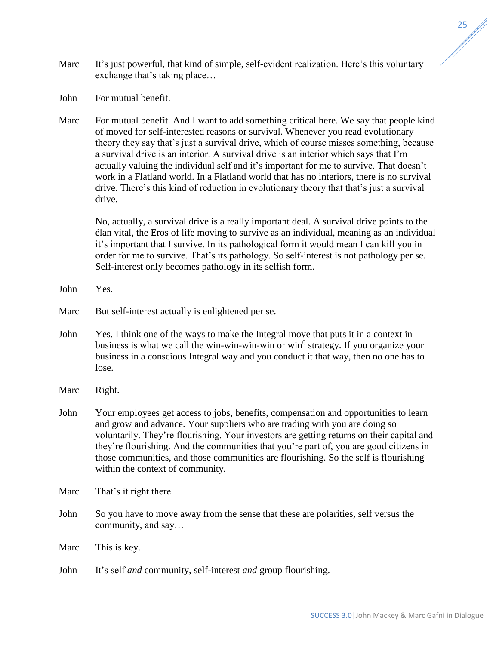- Marc It's just powerful, that kind of simple, self-evident realization. Here's this voluntary exchange that's taking place…
- John For mutual benefit.
- Marc For mutual benefit. And I want to add something critical here. We say that people kind of moved for self-interested reasons or survival. Whenever you read evolutionary theory they say that's just a survival drive, which of course misses something, because a survival drive is an interior. A survival drive is an interior which says that I'm actually valuing the individual self and it's important for me to survive. That doesn't work in a Flatland world. In a Flatland world that has no interiors, there is no survival drive. There's this kind of reduction in evolutionary theory that that's just a survival drive.

No, actually, a survival drive is a really important deal. A survival drive points to the élan vital, the Eros of life moving to survive as an individual, meaning as an individual it's important that I survive. In its pathological form it would mean I can kill you in order for me to survive. That's its pathology. So self-interest is not pathology per se. Self-interest only becomes pathology in its selfish form.

- John Yes.
- Marc But self-interest actually is enlightened per se.
- John Yes. I think one of the ways to make the Integral move that puts it in a context in business is what we call the win-win-win-win or win<sup>6</sup> strategy. If you organize your business in a conscious Integral way and you conduct it that way, then no one has to lose.
- Marc Right.
- John Your employees get access to jobs, benefits, compensation and opportunities to learn and grow and advance. Your suppliers who are trading with you are doing so voluntarily. They're flourishing. Your investors are getting returns on their capital and they're flourishing. And the communities that you're part of, you are good citizens in those communities, and those communities are flourishing. So the self is flourishing within the context of community.
- Marc That's it right there.
- John So you have to move away from the sense that these are polarities, self versus the community, and say…
- Marc This is key.
- John It's self *and* community, self-interest *and* group flourishing.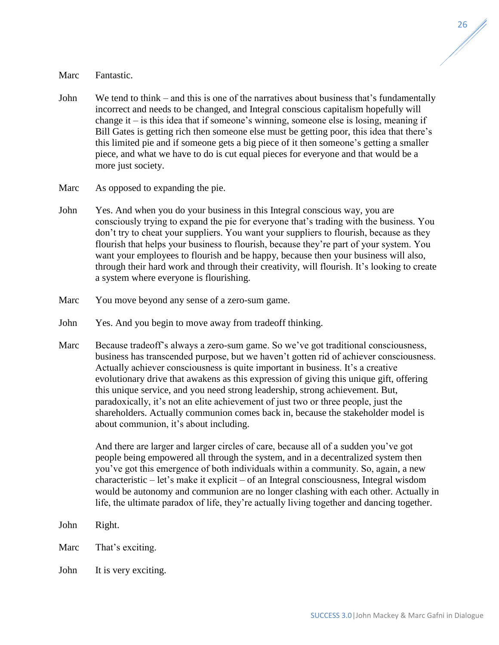## Marc Fantastic.

- John We tend to think and this is one of the narratives about business that's fundamentally incorrect and needs to be changed, and Integral conscious capitalism hopefully will change it – is this idea that if someone's winning, someone else is losing, meaning if Bill Gates is getting rich then someone else must be getting poor, this idea that there's this limited pie and if someone gets a big piece of it then someone's getting a smaller piece, and what we have to do is cut equal pieces for everyone and that would be a more just society.
- Marc As opposed to expanding the pie.
- John Yes. And when you do your business in this Integral conscious way, you are consciously trying to expand the pie for everyone that's trading with the business. You don't try to cheat your suppliers. You want your suppliers to flourish, because as they flourish that helps your business to flourish, because they're part of your system. You want your employees to flourish and be happy, because then your business will also, through their hard work and through their creativity, will flourish. It's looking to create a system where everyone is flourishing.
- Marc You move beyond any sense of a zero-sum game.
- John Yes. And you begin to move away from tradeoff thinking.
- Marc Because tradeoff's always a zero-sum game. So we've got traditional consciousness, business has transcended purpose, but we haven't gotten rid of achiever consciousness. Actually achiever consciousness is quite important in business. It's a creative evolutionary drive that awakens as this expression of giving this unique gift, offering this unique service, and you need strong leadership, strong achievement. But, paradoxically, it's not an elite achievement of just two or three people, just the shareholders. Actually communion comes back in, because the stakeholder model is about communion, it's about including.

And there are larger and larger circles of care, because all of a sudden you've got people being empowered all through the system, and in a decentralized system then you've got this emergence of both individuals within a community. So, again, a new characteristic – let's make it explicit – of an Integral consciousness, Integral wisdom would be autonomy and communion are no longer clashing with each other. Actually in life, the ultimate paradox of life, they're actually living together and dancing together.

- John Right.
- Marc That's exciting.
- John It is very exciting.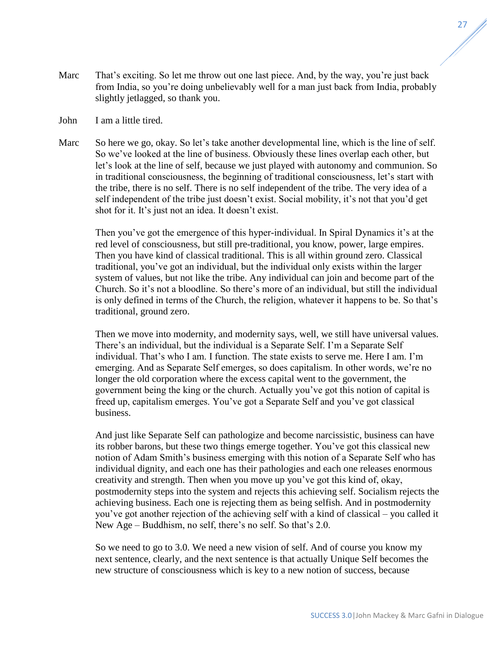- Marc That's exciting. So let me throw out one last piece. And, by the way, you're just back from India, so you're doing unbelievably well for a man just back from India, probably slightly jetlagged, so thank you.
- John I am a little tired.
- Marc So here we go, okay. So let's take another developmental line, which is the line of self. So we've looked at the line of business. Obviously these lines overlap each other, but let's look at the line of self, because we just played with autonomy and communion. So in traditional consciousness, the beginning of traditional consciousness, let's start with the tribe, there is no self. There is no self independent of the tribe. The very idea of a self independent of the tribe just doesn't exist. Social mobility, it's not that you'd get shot for it. It's just not an idea. It doesn't exist.

Then you've got the emergence of this hyper-individual. In Spiral Dynamics it's at the red level of consciousness, but still pre-traditional, you know, power, large empires. Then you have kind of classical traditional. This is all within ground zero. Classical traditional, you've got an individual, but the individual only exists within the larger system of values, but not like the tribe. Any individual can join and become part of the Church. So it's not a bloodline. So there's more of an individual, but still the individual is only defined in terms of the Church, the religion, whatever it happens to be. So that's traditional, ground zero.

Then we move into modernity, and modernity says, well, we still have universal values. There's an individual, but the individual is a Separate Self. I'm a Separate Self individual. That's who I am. I function. The state exists to serve me. Here I am. I'm emerging. And as Separate Self emerges, so does capitalism. In other words, we're no longer the old corporation where the excess capital went to the government, the government being the king or the church. Actually you've got this notion of capital is freed up, capitalism emerges. You've got a Separate Self and you've got classical business.

And just like Separate Self can pathologize and become narcissistic, business can have its robber barons, but these two things emerge together. You've got this classical new notion of Adam Smith's business emerging with this notion of a Separate Self who has individual dignity, and each one has their pathologies and each one releases enormous creativity and strength. Then when you move up you've got this kind of, okay, postmodernity steps into the system and rejects this achieving self. Socialism rejects the achieving business. Each one is rejecting them as being selfish. And in postmodernity you've got another rejection of the achieving self with a kind of classical – you called it New Age – Buddhism, no self, there's no self. So that's 2.0.

So we need to go to 3.0. We need a new vision of self. And of course you know my next sentence, clearly, and the next sentence is that actually Unique Self becomes the new structure of consciousness which is key to a new notion of success, because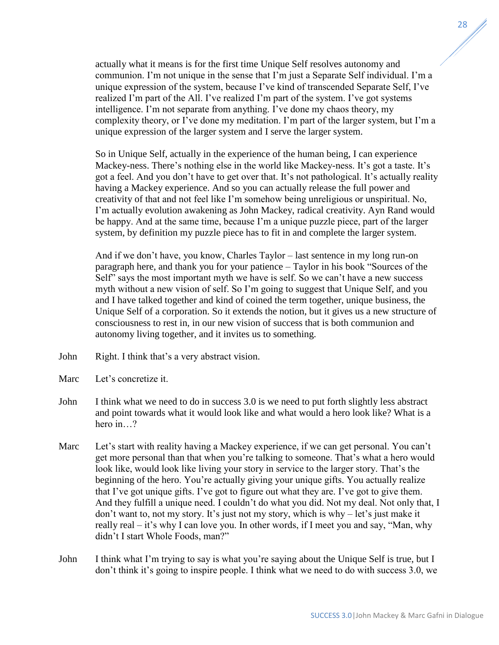actually what it means is for the first time Unique Self resolves autonomy and communion. I'm not unique in the sense that I'm just a Separate Self individual. I'm a unique expression of the system, because I've kind of transcended Separate Self, I've realized I'm part of the All. I've realized I'm part of the system. I've got systems intelligence. I'm not separate from anything. I've done my chaos theory, my complexity theory, or I've done my meditation. I'm part of the larger system, but I'm a unique expression of the larger system and I serve the larger system.

So in Unique Self, actually in the experience of the human being, I can experience Mackey-ness. There's nothing else in the world like Mackey-ness. It's got a taste. It's got a feel. And you don't have to get over that. It's not pathological. It's actually reality having a Mackey experience. And so you can actually release the full power and creativity of that and not feel like I'm somehow being unreligious or unspiritual. No, I'm actually evolution awakening as John Mackey, radical creativity. Ayn Rand would be happy. And at the same time, because I'm a unique puzzle piece, part of the larger system, by definition my puzzle piece has to fit in and complete the larger system.

And if we don't have, you know, Charles Taylor – last sentence in my long run-on paragraph here, and thank you for your patience – Taylor in his book "Sources of the Self" says the most important myth we have is self. So we can't have a new success myth without a new vision of self. So I'm going to suggest that Unique Self, and you and I have talked together and kind of coined the term together, unique business, the Unique Self of a corporation. So it extends the notion, but it gives us a new structure of consciousness to rest in, in our new vision of success that is both communion and autonomy living together, and it invites us to something.

- John Right. I think that's a very abstract vision.
- Marc Let's concretize it.
- John I think what we need to do in success 3.0 is we need to put forth slightly less abstract and point towards what it would look like and what would a hero look like? What is a hero in ?
- Marc Let's start with reality having a Mackey experience, if we can get personal. You can't get more personal than that when you're talking to someone. That's what a hero would look like, would look like living your story in service to the larger story. That's the beginning of the hero. You're actually giving your unique gifts. You actually realize that I've got unique gifts. I've got to figure out what they are. I've got to give them. And they fulfill a unique need. I couldn't do what you did. Not my deal. Not only that, I don't want to, not my story. It's just not my story, which is why – let's just make it really real – it's why I can love you. In other words, if I meet you and say, "Man, why didn't I start Whole Foods, man?"
- John I think what I'm trying to say is what you're saying about the Unique Self is true, but I don't think it's going to inspire people. I think what we need to do with success 3.0, we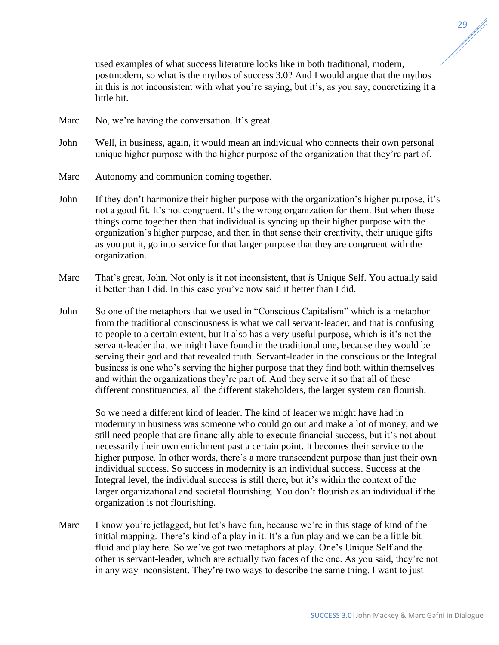used examples of what success literature looks like in both traditional, modern, postmodern, so what is the mythos of success 3.0? And I would argue that the mythos in this is not inconsistent with what you're saying, but it's, as you say, concretizing it a little bit.

- Marc No, we're having the conversation. It's great.
- John Well, in business, again, it would mean an individual who connects their own personal unique higher purpose with the higher purpose of the organization that they're part of.
- Marc Autonomy and communion coming together.
- John If they don't harmonize their higher purpose with the organization's higher purpose, it's not a good fit. It's not congruent. It's the wrong organization for them. But when those things come together then that individual is syncing up their higher purpose with the organization's higher purpose, and then in that sense their creativity, their unique gifts as you put it, go into service for that larger purpose that they are congruent with the organization.
- Marc That's great, John. Not only is it not inconsistent, that *is* Unique Self. You actually said it better than I did. In this case you've now said it better than I did.
- John So one of the metaphors that we used in "Conscious Capitalism" which is a metaphor from the traditional consciousness is what we call servant-leader, and that is confusing to people to a certain extent, but it also has a very useful purpose, which is it's not the servant-leader that we might have found in the traditional one, because they would be serving their god and that revealed truth. Servant-leader in the conscious or the Integral business is one who's serving the higher purpose that they find both within themselves and within the organizations they're part of. And they serve it so that all of these different constituencies, all the different stakeholders, the larger system can flourish.

So we need a different kind of leader. The kind of leader we might have had in modernity in business was someone who could go out and make a lot of money, and we still need people that are financially able to execute financial success, but it's not about necessarily their own enrichment past a certain point. It becomes their service to the higher purpose. In other words, there's a more transcendent purpose than just their own individual success. So success in modernity is an individual success. Success at the Integral level, the individual success is still there, but it's within the context of the larger organizational and societal flourishing. You don't flourish as an individual if the organization is not flourishing.

Marc I know you're jetlagged, but let's have fun, because we're in this stage of kind of the initial mapping. There's kind of a play in it. It's a fun play and we can be a little bit fluid and play here. So we've got two metaphors at play. One's Unique Self and the other is servant-leader, which are actually two faces of the one. As you said, they're not in any way inconsistent. They're two ways to describe the same thing. I want to just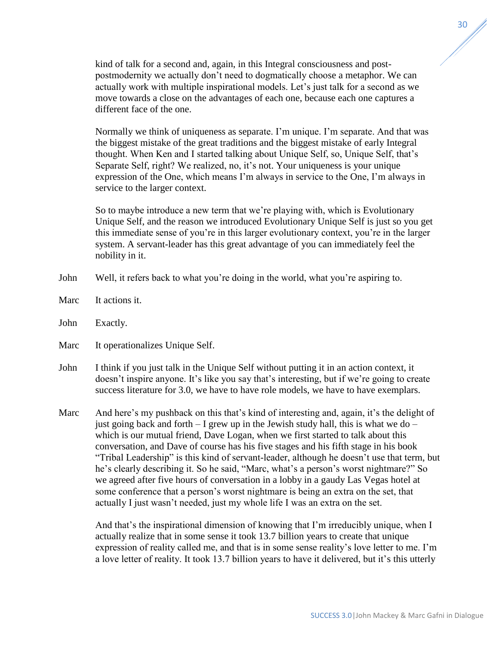kind of talk for a second and, again, in this Integral consciousness and postpostmodernity we actually don't need to dogmatically choose a metaphor. We can actually work with multiple inspirational models. Let's just talk for a second as we move towards a close on the advantages of each one, because each one captures a different face of the one.

Normally we think of uniqueness as separate. I'm unique. I'm separate. And that was the biggest mistake of the great traditions and the biggest mistake of early Integral thought. When Ken and I started talking about Unique Self, so, Unique Self, that's Separate Self, right? We realized, no, it's not. Your uniqueness is your unique expression of the One, which means I'm always in service to the One, I'm always in service to the larger context.

So to maybe introduce a new term that we're playing with, which is Evolutionary Unique Self, and the reason we introduced Evolutionary Unique Self is just so you get this immediate sense of you're in this larger evolutionary context, you're in the larger system. A servant-leader has this great advantage of you can immediately feel the nobility in it.

- John Well, it refers back to what you're doing in the world, what you're aspiring to.
- Marc It actions it.
- John Exactly.
- Marc It operationalizes Unique Self.
- John I think if you just talk in the Unique Self without putting it in an action context, it doesn't inspire anyone. It's like you say that's interesting, but if we're going to create success literature for 3.0, we have to have role models, we have to have exemplars.
- Marc And here's my pushback on this that's kind of interesting and, again, it's the delight of just going back and forth  $-1$  grew up in the Jewish study hall, this is what we do  $$ which is our mutual friend, Dave Logan, when we first started to talk about this conversation, and Dave of course has his five stages and his fifth stage in his book "Tribal Leadership" is this kind of servant-leader, although he doesn't use that term, but he's clearly describing it. So he said, "Marc, what's a person's worst nightmare?" So we agreed after five hours of conversation in a lobby in a gaudy Las Vegas hotel at some conference that a person's worst nightmare is being an extra on the set, that actually I just wasn't needed, just my whole life I was an extra on the set.

And that's the inspirational dimension of knowing that I'm irreducibly unique, when I actually realize that in some sense it took 13.7 billion years to create that unique expression of reality called me, and that is in some sense reality's love letter to me. I'm a love letter of reality. It took 13.7 billion years to have it delivered, but it's this utterly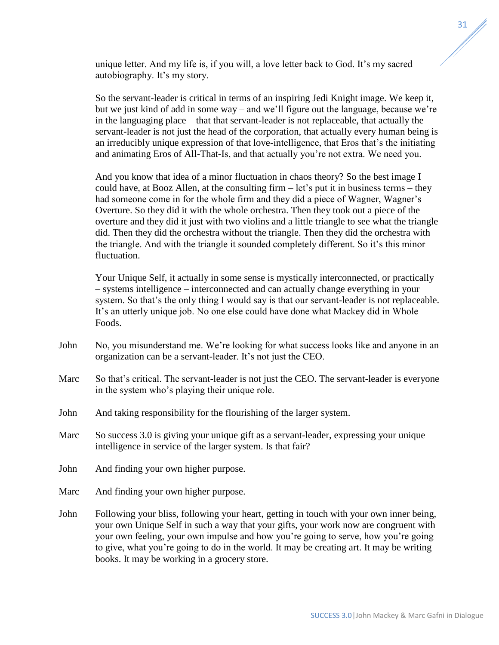unique letter. And my life is, if you will, a love letter back to God. It's my sacred autobiography. It's my story.

So the servant-leader is critical in terms of an inspiring Jedi Knight image. We keep it, but we just kind of add in some way – and we'll figure out the language, because we're in the languaging place – that that servant-leader is not replaceable, that actually the servant-leader is not just the head of the corporation, that actually every human being is an irreducibly unique expression of that love-intelligence, that Eros that's the initiating and animating Eros of All-That-Is, and that actually you're not extra. We need you.

And you know that idea of a minor fluctuation in chaos theory? So the best image I could have, at Booz Allen, at the consulting firm – let's put it in business terms – they had someone come in for the whole firm and they did a piece of Wagner, Wagner's Overture. So they did it with the whole orchestra. Then they took out a piece of the overture and they did it just with two violins and a little triangle to see what the triangle did. Then they did the orchestra without the triangle. Then they did the orchestra with the triangle. And with the triangle it sounded completely different. So it's this minor fluctuation.

Your Unique Self, it actually in some sense is mystically interconnected, or practically – systems intelligence – interconnected and can actually change everything in your system. So that's the only thing I would say is that our servant-leader is not replaceable. It's an utterly unique job. No one else could have done what Mackey did in Whole Foods.

- John No, you misunderstand me. We're looking for what success looks like and anyone in an organization can be a servant-leader. It's not just the CEO.
- Marc So that's critical. The servant-leader is not just the CEO. The servant-leader is everyone in the system who's playing their unique role.
- John And taking responsibility for the flourishing of the larger system.
- Marc So success 3.0 is giving your unique gift as a servant-leader, expressing your unique intelligence in service of the larger system. Is that fair?
- John And finding your own higher purpose.
- Marc And finding your own higher purpose.
- John Following your bliss, following your heart, getting in touch with your own inner being, your own Unique Self in such a way that your gifts, your work now are congruent with your own feeling, your own impulse and how you're going to serve, how you're going to give, what you're going to do in the world. It may be creating art. It may be writing books. It may be working in a grocery store.